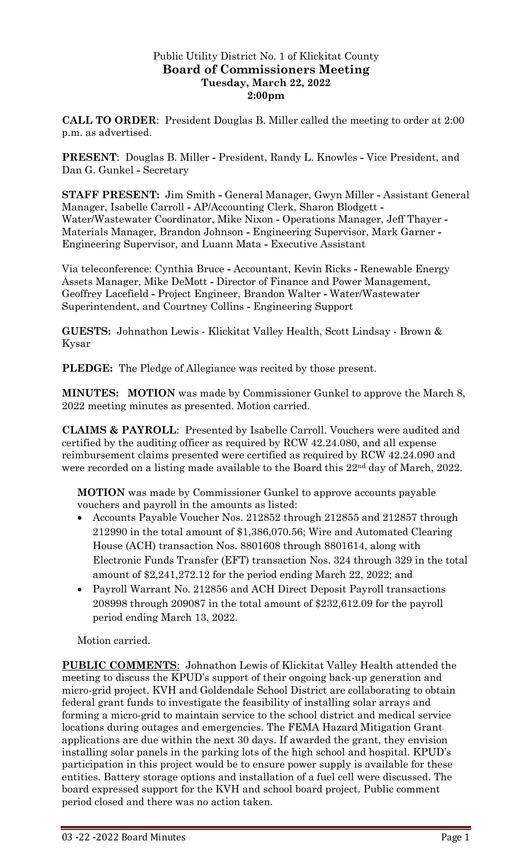# Public Utility District No. 1 of Klickitat County **Board of Commissioners Meeting Tuesday, March 22, 2022 2:00pm**

**CALL TO ORDER**: President Douglas B. Miller called the meeting to order at 2:00 p.m. as advertised.

**PRESENT**: Douglas B. Miller **-** President, Randy L. Knowles **-** Vice President, and Dan G. Gunkel **-** Secretary

**STAFF PRESENT:** Jim Smith **-** General Manager, Gwyn Miller **-** Assistant General Manager, Isabelle Carroll **-** AP/Accounting Clerk, Sharon Blodgett **-** Water/Wastewater Coordinator, Mike Nixon **-** Operations Manager, Jeff Thayer **-** Materials Manager, Brandon Johnson **-** Engineering Supervisor, Mark Garner **-** Engineering Supervisor, and Luann Mata **-** Executive Assistant

Via teleconference: Cynthia Bruce **-** Accountant, Kevin Ricks **-** Renewable Energy Assets Manager, Mike DeMott **-** Director of Finance and Power Management, Geoffrey Lacefield **-** Project Engineer, Brandon Walter **-** Water/Wastewater Superintendent, and Courtney Collins **-** Engineering Support

**GUESTS:** Johnathon Lewis - Klickitat Valley Health, Scott Lindsay - Brown & Kysar

**PLEDGE:** The Pledge of Allegiance was recited by those present.

**MINUTES: MOTION** was made by Commissioner Gunkel to approve the March 8, 2022 meeting minutes as presented. Motion carried.

**CLAIMS & PAYROLL**: Presented by Isabelle Carroll. Vouchers were audited and certified by the auditing officer as required by RCW 42.24.080, and all expense reimbursement claims presented were certified as required by RCW 42.24.090 and were recorded on a listing made available to the Board this 22nd day of March, 2022.

**MOTION** was made by Commissioner Gunkel to approve accounts payable vouchers and payroll in the amounts as listed:

- Accounts Payable Voucher Nos. 212852 through 212855 and 212857 through 212990 in the total amount of \$1,386,070.56; Wire and Automated Clearing House (ACH) transaction Nos. 8801608 through 8801614, along with Electronic Funds Transfer (EFT) transaction Nos. 324 through 329 in the total amount of \$2,241,272.12 for the period ending March 22, 2022; and
- Payroll Warrant No. 212856 and ACH Direct Deposit Payroll transactions 208998 through 209087 in the total amount of \$232,612.09 for the payroll period ending March 13, 2022.

Motion carried.

**PUBLIC COMMENTS**: Johnathon Lewis of Klickitat Valley Health attended the meeting to discuss the KPUD's support of their ongoing back-up generation and micro-grid project. KVH and Goldendale School District are collaborating to obtain federal grant funds to investigate the feasibility of installing solar arrays and forming a micro-grid to maintain service to the school district and medical service locations during outages and emergencies. The FEMA Hazard Mitigation Grant applications are due within the next 30 days. If awarded the grant, they envision installing solar panels in the parking lots of the high school and hospital. KPUD's participation in this project would be to ensure power supply is available for these entities. Battery storage options and installation of a fuel cell were discussed. The board expressed support for the KVH and school board project. Public comment period closed and there was no action taken.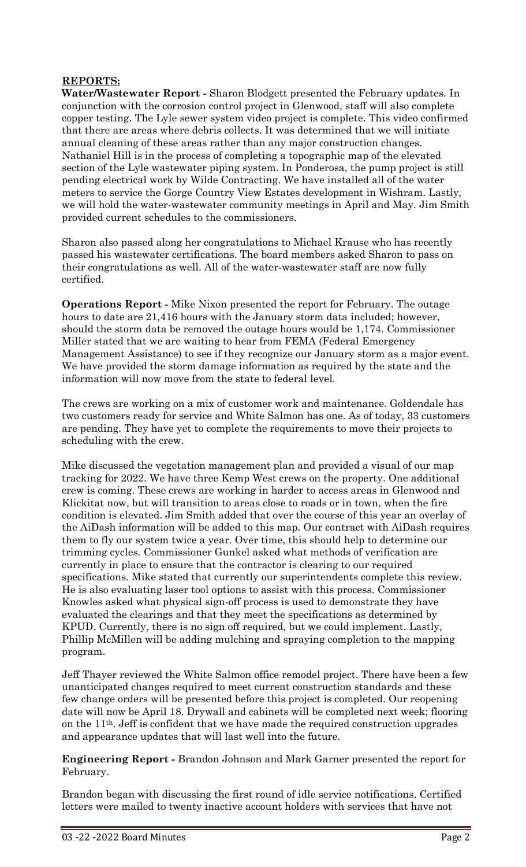#### **REPORTS:**

**Water/Wastewater Report -** Sharon Blodgett presented the February updates. In conjunction with the corrosion control project in Glenwood, staff will also complete copper testing. The Lyle sewer system video project is complete. This video confirmed that there are areas where debris collects. It was determined that we will initiate annual cleaning of these areas rather than any major construction changes. Nathaniel Hill is in the process of completing a topographic map of the elevated section of the Lyle wastewater piping system. In Ponderosa, the pump project is still pending electrical work by Wilde Contracting. We have installed all of the water meters to service the Gorge Country View Estates development in Wishram. Lastly, we will hold the water-wastewater community meetings in April and May. Jim Smith provided current schedules to the commissioners.

Sharon also passed along her congratulations to Michael Krause who has recently passed his wastewater certifications. The board members asked Sharon to pass on their congratulations as well. All of the water-wastewater staff are now fully certified.

**Operations Report -** Mike Nixon presented the report for February. The outage hours to date are 21,416 hours with the January storm data included; however, should the storm data be removed the outage hours would be 1,174. Commissioner Miller stated that we are waiting to hear from FEMA (Federal Emergency Management Assistance) to see if they recognize our January storm as a major event. We have provided the storm damage information as required by the state and the information will now move from the state to federal level.

The crews are working on a mix of customer work and maintenance. Goldendale has two customers ready for service and White Salmon has one. As of today, 33 customers are pending. They have yet to complete the requirements to move their projects to scheduling with the crew.

Mike discussed the vegetation management plan and provided a visual of our map tracking for 2022. We have three Kemp West crews on the property. One additional crew is coming. These crews are working in harder to access areas in Glenwood and Klickitat now, but will transition to areas close to roads or in town, when the fire condition is elevated. Jim Smith added that over the course of this year an overlay of the AiDash information will be added to this map. Our contract with AiDash requires them to fly our system twice a year. Over time, this should help to determine our trimming cycles. Commissioner Gunkel asked what methods of verification are currently in place to ensure that the contractor is clearing to our required specifications. Mike stated that currently our superintendents complete this review. He is also evaluating laser tool options to assist with this process. Commissioner Knowles asked what physical sign-off process is used to demonstrate they have evaluated the clearings and that they meet the specifications as determined by KPUD. Currently, there is no sign off required, but we could implement. Lastly, Phillip McMillen will be adding mulching and spraying completion to the mapping program.

Jeff Thayer reviewed the White Salmon office remodel project. There have been a few unanticipated changes required to meet current construction standards and these few change orders will be presented before this project is completed. Our reopening date will now be April 18. Drywall and cabinets will be completed next week; flooring on the 11th. Jeff is confident that we have made the required construction upgrades and appearance updates that will last well into the future.

**Engineering Report -** Brandon Johnson and Mark Garner presented the report for February.

Brandon began with discussing the first round of idle service notifications. Certified letters were mailed to twenty inactive account holders with services that have not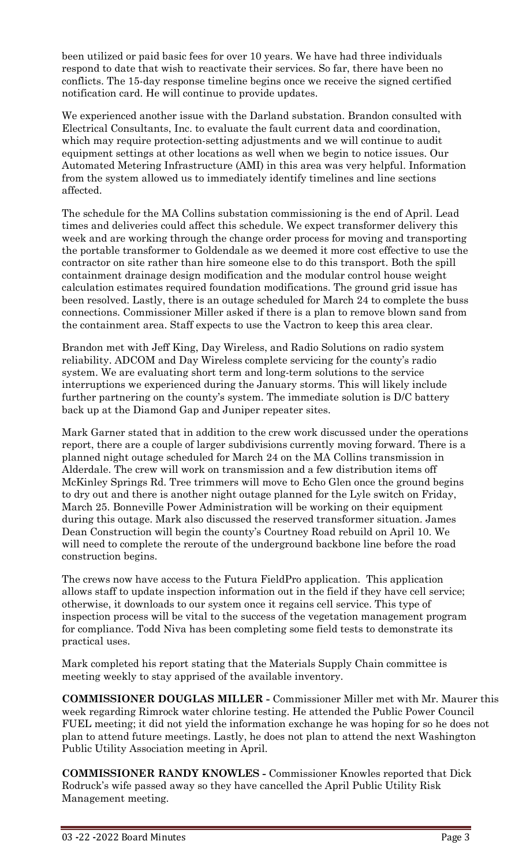been utilized or paid basic fees for over 10 years. We have had three individuals respond to date that wish to reactivate their services. So far, there have been no conflicts. The 15-day response timeline begins once we receive the signed certified notification card. He will continue to provide updates.

We experienced another issue with the Darland substation. Brandon consulted with Electrical Consultants, Inc. to evaluate the fault current data and coordination, which may require protection-setting adjustments and we will continue to audit equipment settings at other locations as well when we begin to notice issues. Our Automated Metering Infrastructure (AMI) in this area was very helpful. Information from the system allowed us to immediately identify timelines and line sections affected.

The schedule for the MA Collins substation commissioning is the end of April. Lead times and deliveries could affect this schedule. We expect transformer delivery this week and are working through the change order process for moving and transporting the portable transformer to Goldendale as we deemed it more cost effective to use the contractor on site rather than hire someone else to do this transport. Both the spill containment drainage design modification and the modular control house weight calculation estimates required foundation modifications. The ground grid issue has been resolved. Lastly, there is an outage scheduled for March 24 to complete the buss connections. Commissioner Miller asked if there is a plan to remove blown sand from the containment area. Staff expects to use the Vactron to keep this area clear.

Brandon met with Jeff King, Day Wireless, and Radio Solutions on radio system reliability. ADCOM and Day Wireless complete servicing for the county's radio system. We are evaluating short term and long-term solutions to the service interruptions we experienced during the January storms. This will likely include further partnering on the county's system. The immediate solution is D/C battery back up at the Diamond Gap and Juniper repeater sites.

Mark Garner stated that in addition to the crew work discussed under the operations report, there are a couple of larger subdivisions currently moving forward. There is a planned night outage scheduled for March 24 on the MA Collins transmission in Alderdale. The crew will work on transmission and a few distribution items off McKinley Springs Rd. Tree trimmers will move to Echo Glen once the ground begins to dry out and there is another night outage planned for the Lyle switch on Friday, March 25. Bonneville Power Administration will be working on their equipment during this outage. Mark also discussed the reserved transformer situation. James Dean Construction will begin the county's Courtney Road rebuild on April 10. We will need to complete the reroute of the underground backbone line before the road construction begins.

The crews now have access to the Futura FieldPro application. This application allows staff to update inspection information out in the field if they have cell service; otherwise, it downloads to our system once it regains cell service. This type of inspection process will be vital to the success of the vegetation management program for compliance. Todd Niva has been completing some field tests to demonstrate its practical uses.

Mark completed his report stating that the Materials Supply Chain committee is meeting weekly to stay apprised of the available inventory.

**COMMISSIONER DOUGLAS MILLER -** Commissioner Miller met with Mr. Maurer this week regarding Rimrock water chlorine testing. He attended the Public Power Council FUEL meeting; it did not yield the information exchange he was hoping for so he does not plan to attend future meetings. Lastly, he does not plan to attend the next Washington Public Utility Association meeting in April.

**COMMISSIONER RANDY KNOWLES -** Commissioner Knowles reported that Dick Rodruck's wife passed away so they have cancelled the April Public Utility Risk Management meeting.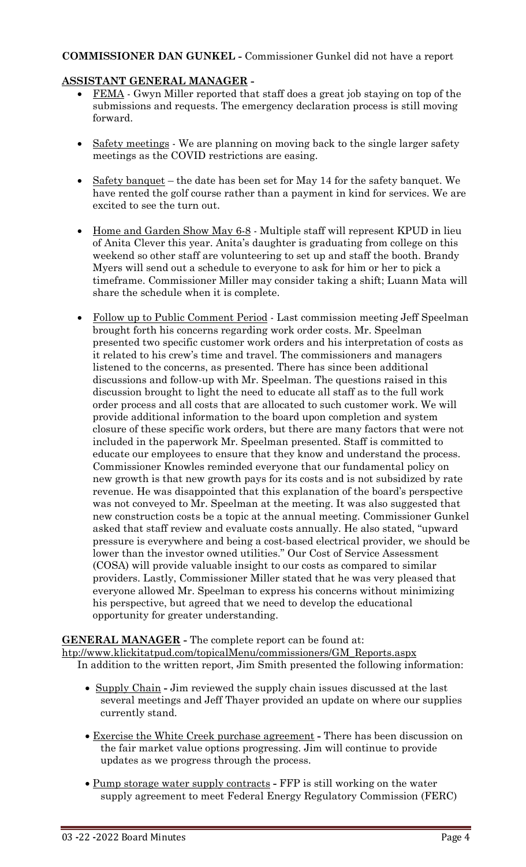# **COMMISSIONER DAN GUNKEL -** Commissioner Gunkel did not have a report

# **ASSISTANT GENERAL MANAGER -**

- FEMA Gwyn Miller reported that staff does a great job staying on top of the submissions and requests. The emergency declaration process is still moving forward.
- Safety meetings We are planning on moving back to the single larger safety meetings as the COVID restrictions are easing.
- Safety banquet the date has been set for May 14 for the safety banquet. We have rented the golf course rather than a payment in kind for services. We are excited to see the turn out.
- Home and Garden Show May 6-8 Multiple staff will represent KPUD in lieu of Anita Clever this year. Anita's daughter is graduating from college on this weekend so other staff are volunteering to set up and staff the booth. Brandy Myers will send out a schedule to everyone to ask for him or her to pick a timeframe. Commissioner Miller may consider taking a shift; Luann Mata will share the schedule when it is complete.
- Follow up to Public Comment Period Last commission meeting Jeff Speelman brought forth his concerns regarding work order costs. Mr. Speelman presented two specific customer work orders and his interpretation of costs as it related to his crew's time and travel. The commissioners and managers listened to the concerns, as presented. There has since been additional discussions and follow-up with Mr. Speelman. The questions raised in this discussion brought to light the need to educate all staff as to the full work order process and all costs that are allocated to such customer work. We will provide additional information to the board upon completion and system closure of these specific work orders, but there are many factors that were not included in the paperwork Mr. Speelman presented. Staff is committed to educate our employees to ensure that they know and understand the process. Commissioner Knowles reminded everyone that our fundamental policy on new growth is that new growth pays for its costs and is not subsidized by rate revenue. He was disappointed that this explanation of the board's perspective was not conveyed to Mr. Speelman at the meeting. It was also suggested that new construction costs be a topic at the annual meeting. Commissioner Gunkel asked that staff review and evaluate costs annually. He also stated, "upward pressure is everywhere and being a cost-based electrical provider, we should be lower than the investor owned utilities." Our Cost of Service Assessment (COSA) will provide valuable insight to our costs as compared to similar providers. Lastly, Commissioner Miller stated that he was very pleased that everyone allowed Mr. Speelman to express his concerns without minimizing his perspective, but agreed that we need to develop the educational opportunity for greater understanding.

#### **GENERAL MANAGER -** The complete report can be found at:

[htp://www.klickitatpud.com/topicalMenu/commissioners/GM\\_Reports.aspx](http://www.klickitatpud.com/topicalMenu/commissioners/GM_Reports.aspx) In addition to the written report, Jim Smith presented the following information:

- Supply Chain **-** Jim reviewed the supply chain issues discussed at the last several meetings and Jeff Thayer provided an update on where our supplies currently stand.
- Exercise the White Creek purchase agreement **-** There has been discussion on the fair market value options progressing. Jim will continue to provide updates as we progress through the process.
- Pump storage water supply contracts **-** FFP is still working on the water supply agreement to meet Federal Energy Regulatory Commission (FERC)